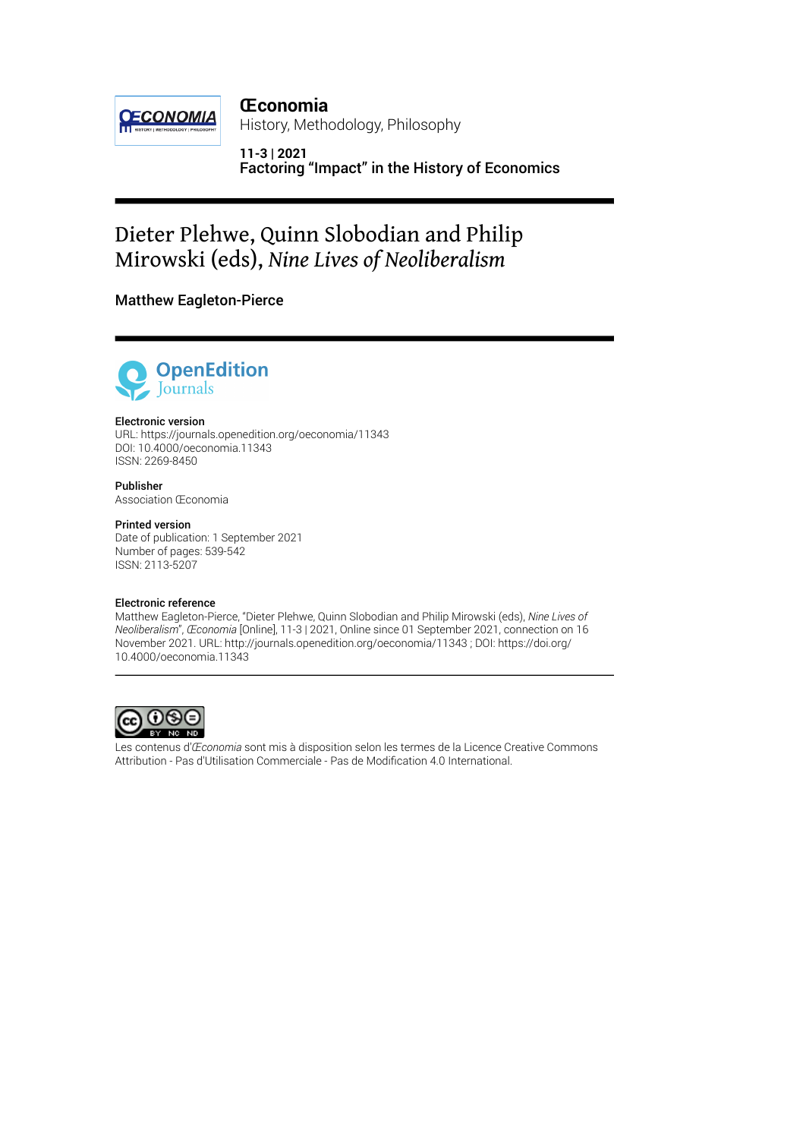

**Œconomia** History, Methodology, Philosophy

**11-3 | 2021** Factoring "Impact" in the History of Economics

# Dieter Plehwe, Quinn Slobodian and Philip Mirowski (eds), *Nine Lives of Neoliberalism*

Matthew Eagleton-Pierce



### Electronic version

URL:<https://journals.openedition.org/oeconomia/11343> DOI: 10.4000/oeconomia.11343 ISSN: 2269-8450

Publisher Association Œconomia

#### Printed version

Date of publication: 1 September 2021 Number of pages: 539-542 ISSN: 2113-5207

#### Electronic reference

Matthew Eagleton-Pierce, "Dieter Plehwe, Quinn Slobodian and Philip Mirowski (eds), *Nine Lives of Neoliberalism*", *Œconomia* [Online], 11-3 | 2021, Online since 01 September 2021, connection on 16 November 2021. URL: http://journals.openedition.org/oeconomia/11343 ; DOI: https://doi.org/ 10.4000/oeconomia.11343



Les contenus d'*Œconomia* sont mis à disposition selon les termes de la [Licence Creative Commons](http://creativecommons.org/licenses/by-nc-nd/4.0/) [Attribution - Pas d'Utilisation Commerciale - Pas de Modi](http://creativecommons.org/licenses/by-nc-nd/4.0/)fication 4.0 International.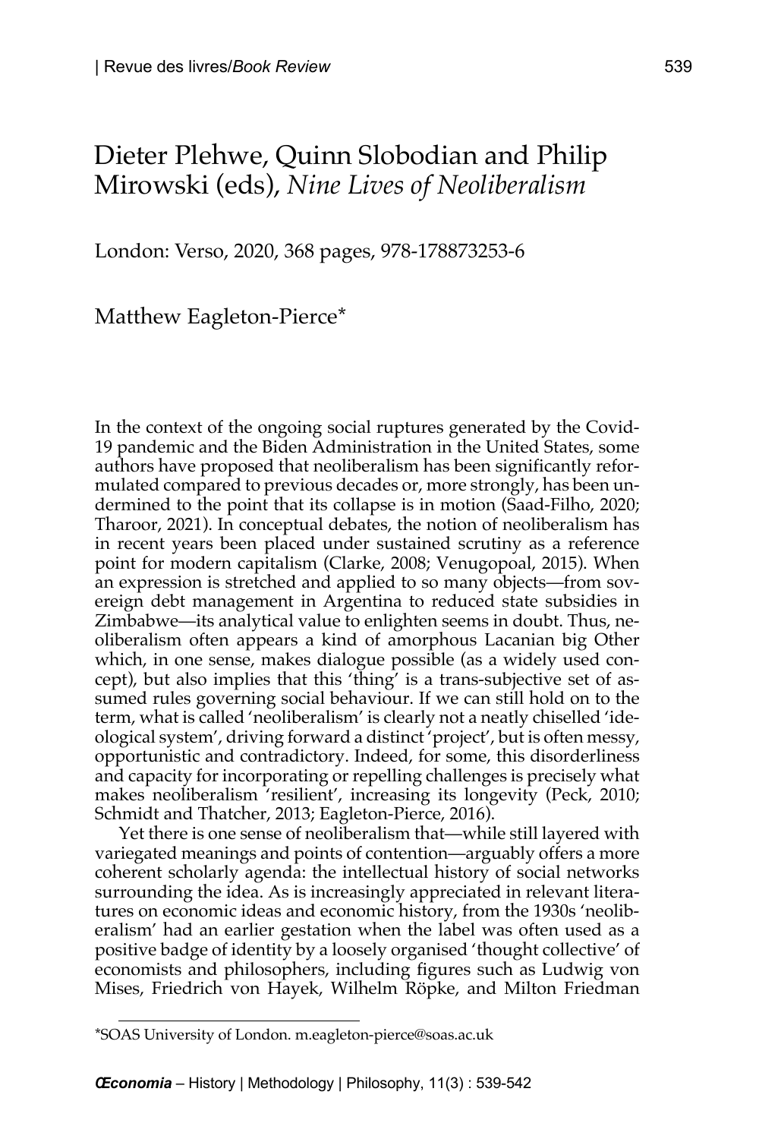# Dieter Plehwe, Quinn Slobodian and Philip Mirowski (eds), *Nine Lives of Neoliberalism*

London: Verso, 2020, 368 pages, 978-178873253-6

Matthew Eagleton-Pierce\*

In the context of the ongoing social ruptures generated by the Covid-19 pandemic and the Biden Administration in the United States, some authors have proposed that neoliberalism has been significantly reformulated compared to previous decades or, more strongly, has been undermined to the point that its collapse is in motion (Saad-Filho, 2020; Tharoor, 2021). In conceptual debates, the notion of neoliberalism has in recent years been placed under sustained scrutiny as a reference point for modern capitalism (Clarke, 2008; Venugopoal, 2015). When an expression is stretched and applied to so many objects—from sovereign debt management in Argentina to reduced state subsidies in Zimbabwe—its analytical value to enlighten seems in doubt. Thus, neoliberalism often appears a kind of amorphous Lacanian big Other which, in one sense, makes dialogue possible (as a widely used concept), but also implies that this 'thing' is a trans-subjective set of assumed rules governing social behaviour. If we can still hold on to the term, what is called 'neoliberalism' is clearly not a neatly chiselled 'ideological system', driving forward a distinct 'project', but is often messy, opportunistic and contradictory. Indeed, for some, this disorderliness and capacity for incorporating or repelling challenges is precisely what makes neoliberalism 'resilient', increasing its longevity (Peck, 2010; Schmidt and Thatcher, 2013; Eagleton-Pierce, 2016).

Yet there is one sense of neoliberalism that—while still layered with variegated meanings and points of contention—arguably offers a more coherent scholarly agenda: the intellectual history of social networks surrounding the idea. As is increasingly appreciated in relevant literatures on economic ideas and economic history, from the 1930s 'neoliberalism' had an earlier gestation when the label was often used as a positive badge of identity by a loosely organised 'thought collective' of economists and philosophers, including figures such as Ludwig von Mises, Friedrich von Hayek, Wilhelm Röpke, and Milton Friedman

<sup>\*</sup>SOAS University of London. m.eagleton-pierce@soas.ac.uk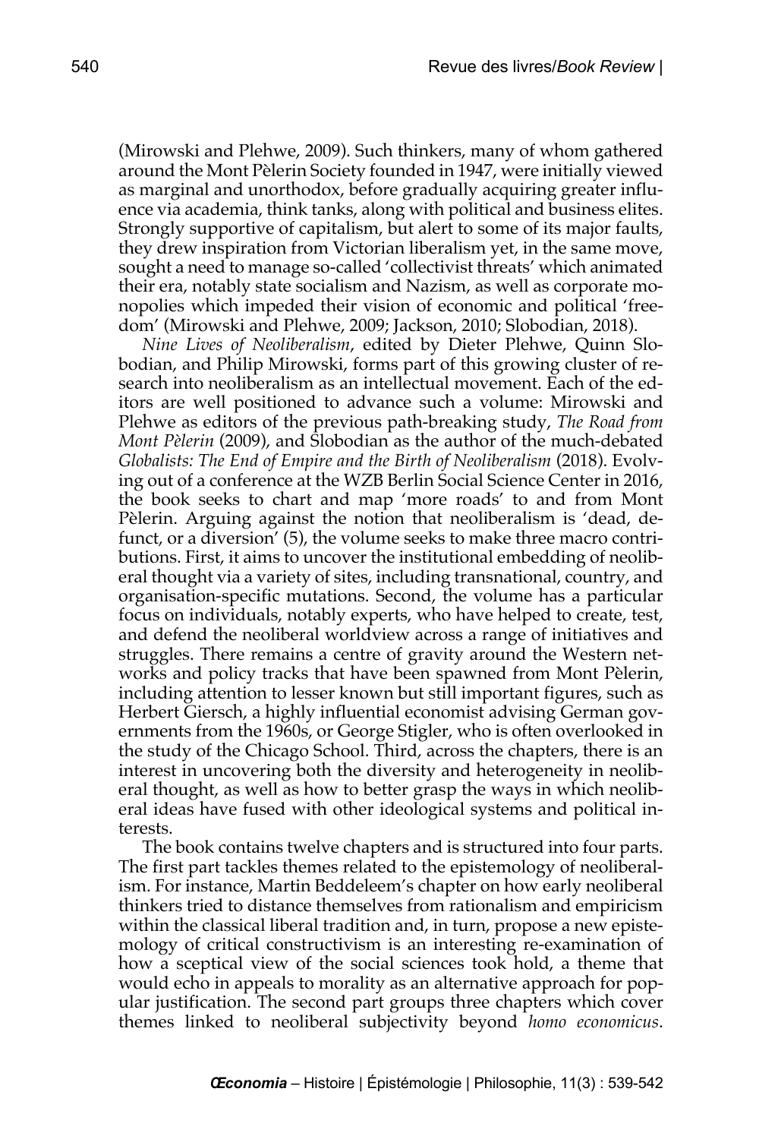(Mirowski and Plehwe, 2009). Such thinkers, many of whom gathered around the Mont Pèlerin Society founded in 1947, were initially viewed as marginal and unorthodox, before gradually acquiring greater influence via academia, think tanks, along with political and business elites. Strongly supportive of capitalism, but alert to some of its major faults, they drew inspiration from Victorian liberalism yet, in the same move, sought a need to manage so-called 'collectivist threats' which animated their era, notably state socialism and Nazism, as well as corporate monopolies which impeded their vision of economic and political 'freedom' (Mirowski and Plehwe, 2009; Jackson, 2010; Slobodian, 2018).

*Nine Lives of Neoliberalism*, edited by Dieter Plehwe, Quinn Slobodian, and Philip Mirowski, forms part of this growing cluster of research into neoliberalism as an intellectual movement. Each of the editors are well positioned to advance such a volume: Mirowski and Plehwe as editors of the previous path-breaking study, *The Road from Mont Pèlerin* (2009), and Slobodian as the author of the much-debated *Globalists: The End of Empire and the Birth of Neoliberalism* (2018). Evolving out of a conference at the WZB Berlin Social Science Center in 2016, the book seeks to chart and map 'more roads' to and from Mont Pèlerin. Arguing against the notion that neoliberalism is 'dead, defunct, or a diversion' (5), the volume seeks to make three macro contributions. First, it aims to uncover the institutional embedding of neoliberal thought via a variety of sites, including transnational, country, and organisation-specific mutations. Second, the volume has a particular focus on individuals, notably experts, who have helped to create, test, and defend the neoliberal worldview across a range of initiatives and struggles. There remains a centre of gravity around the Western networks and policy tracks that have been spawned from Mont Pèlerin, including attention to lesser known but still important figures, such as Herbert Giersch, a highly influential economist advising German governments from the 1960s, or George Stigler, who is often overlooked in the study of the Chicago School. Third, across the chapters, there is an interest in uncovering both the diversity and heterogeneity in neoliberal thought, as well as how to better grasp the ways in which neoliberal ideas have fused with other ideological systems and political interests.

The book contains twelve chapters and is structured into four parts. The first part tackles themes related to the epistemology of neoliberalism. For instance, Martin Beddeleem's chapter on how early neoliberal thinkers tried to distance themselves from rationalism and empiricism within the classical liberal tradition and, in turn, propose a new epistemology of critical constructivism is an interesting re-examination of how a sceptical view of the social sciences took hold, a theme that would echo in appeals to morality as an alternative approach for popular justification. The second part groups three chapters which cover themes linked to neoliberal subjectivity beyond *homo economicus*.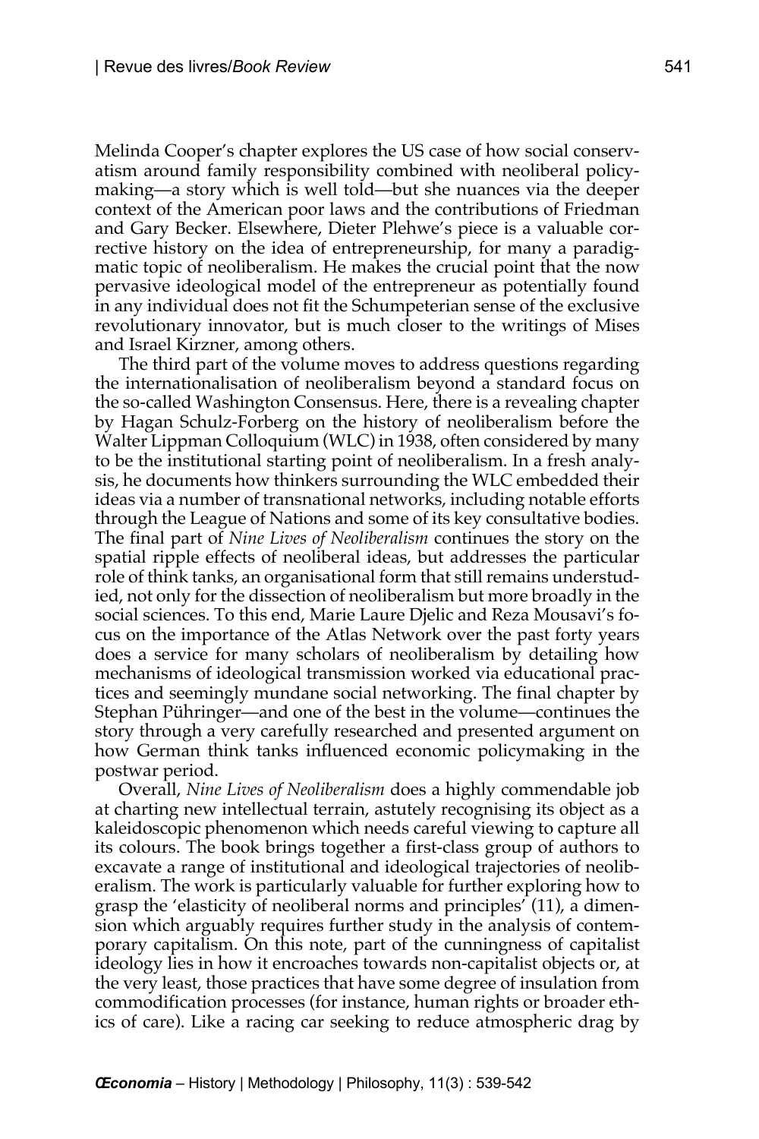Melinda Cooper's chapter explores the US case of how social conservatism around family responsibility combined with neoliberal policymaking—a story which is well told—but she nuances via the deeper context of the American poor laws and the contributions of Friedman and Gary Becker. Elsewhere, Dieter Plehwe's piece is a valuable corrective history on the idea of entrepreneurship, for many a paradigmatic topic of neoliberalism. He makes the crucial point that the now pervasive ideological model of the entrepreneur as potentially found in any individual does not fit the Schumpeterian sense of the exclusive revolutionary innovator, but is much closer to the writings of Mises and Israel Kirzner, among others.

The third part of the volume moves to address questions regarding the internationalisation of neoliberalism beyond a standard focus on the so-called Washington Consensus. Here, there is a revealing chapter by Hagan Schulz-Forberg on the history of neoliberalism before the Walter Lippman Colloquium (WLC) in 1938, often considered by many to be the institutional starting point of neoliberalism. In a fresh analysis, he documents how thinkers surrounding the WLC embedded their ideas via a number of transnational networks, including notable efforts through the League of Nations and some of its key consultative bodies. The final part of *Nine Lives of Neoliberalism* continues the story on the spatial ripple effects of neoliberal ideas, but addresses the particular role of think tanks, an organisational form that still remains understudied, not only for the dissection of neoliberalism but more broadly in the social sciences. To this end, Marie Laure Djelic and Reza Mousavi's focus on the importance of the Atlas Network over the past forty years does a service for many scholars of neoliberalism by detailing how mechanisms of ideological transmission worked via educational practices and seemingly mundane social networking. The final chapter by Stephan Pühringer—and one of the best in the volume—continues the story through a very carefully researched and presented argument on how German think tanks influenced economic policymaking in the postwar period.

Overall, *Nine Lives of Neoliberalism* does a highly commendable job at charting new intellectual terrain, astutely recognising its object as a kaleidoscopic phenomenon which needs careful viewing to capture all its colours. The book brings together a first-class group of authors to excavate a range of institutional and ideological trajectories of neoliberalism. The work is particularly valuable for further exploring how to grasp the 'elasticity of neoliberal norms and principles' (11), a dimension which arguably requires further study in the analysis of contemporary capitalism. On this note, part of the cunningness of capitalist ideology lies in how it encroaches towards non-capitalist objects or, at the very least, those practices that have some degree of insulation from commodification processes (for instance, human rights or broader ethics of care). Like a racing car seeking to reduce atmospheric drag by